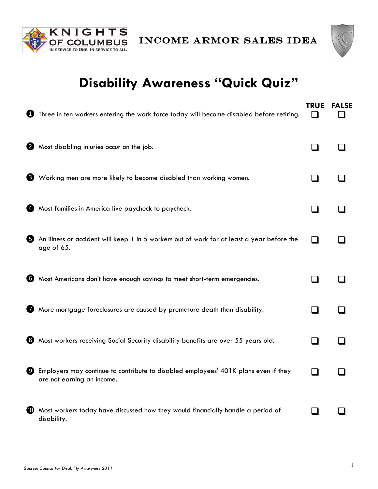



## **Disability Awareness "Quick Quiz"**

|                  | Three in ten workers entering the work force today will become disabled before retiring.                          | <b>TRUE</b>   | <b>FALSE</b> |
|------------------|-------------------------------------------------------------------------------------------------------------------|---------------|--------------|
| 0                | Most disabling injuries occur on the job.                                                                         |               |              |
|                  | <b>3</b> Working men are more likely to become disabled than working women.                                       |               |              |
| Ø,               | Most families in America live paycheck to paycheck.                                                               |               |              |
| 6                | An illness or accident will keep 1 in 5 workers out of work for at least a year before the<br>age of 65.          | $\sim$        |              |
|                  | 6 Most Americans don't have enough savings to meet short-term emergencies.                                        |               |              |
| 7                | More mortgage foreclosures are caused by premature death than disability.                                         | ×.            |              |
| 8                | Most workers receiving Social Security disability benefits are over 55 years old.                                 |               |              |
| o                | Employers may continue to contribute to disabled employees' 401K plans even if they<br>are not earning an income. | $\mathcal{L}$ |              |
| $\bf \bm \omega$ | Most workers today have discussed how they would financially handle a period of<br>disability.                    |               |              |